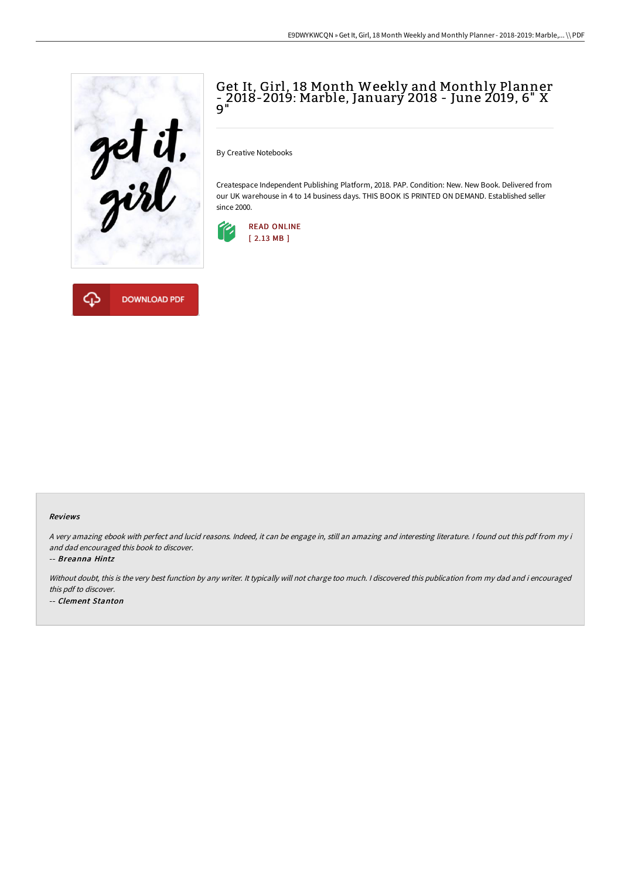

**DOWNLOAD PDF** 

## Get It, Girl, 18 Month Weekly and Monthly Planner - 2018-2019: Marble, January 2018 - June 2019, 6" X 9"

By Creative Notebooks

Createspace Independent Publishing Platform, 2018. PAP. Condition: New. New Book. Delivered from our UK warehouse in 4 to 14 business days. THIS BOOK IS PRINTED ON DEMAND. Established seller since 2000.





<sup>A</sup> very amazing ebook with perfect and lucid reasons. Indeed, it can be engage in, still an amazing and interesting literature. <sup>I</sup> found out this pdf from my i and dad encouraged this book to discover.

-- Breanna Hintz

Without doubt, this is the very best function by any writer. It typically will not charge too much. <sup>I</sup> discovered this publication from my dad and i encouraged this pdf to discover. -- Clement Stanton